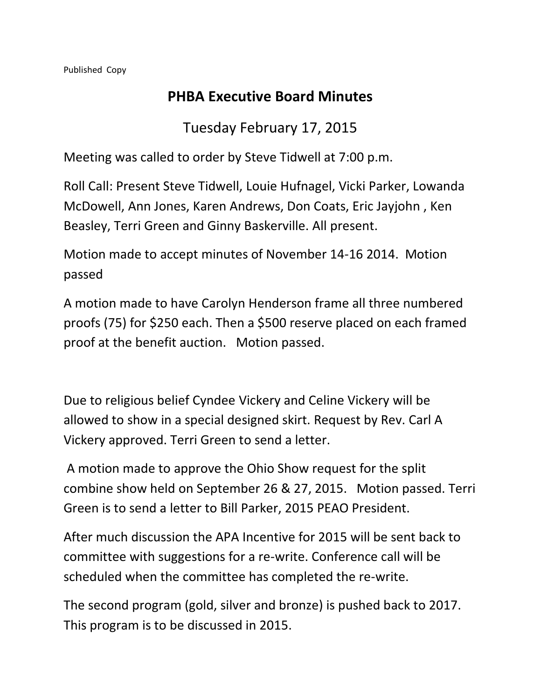## **PHBA Executive Board Minutes**

## Tuesday February 17, 2015

Meeting was called to order by Steve Tidwell at 7:00 p.m.

Roll Call: Present Steve Tidwell, Louie Hufnagel, Vicki Parker, Lowanda McDowell, Ann Jones, Karen Andrews, Don Coats, Eric Jayjohn , Ken Beasley, Terri Green and Ginny Baskerville. All present.

Motion made to accept minutes of November 14-16 2014. Motion passed

A motion made to have Carolyn Henderson frame all three numbered proofs (75) for \$250 each. Then a \$500 reserve placed on each framed proof at the benefit auction. Motion passed.

Due to religious belief Cyndee Vickery and Celine Vickery will be allowed to show in a special designed skirt. Request by Rev. Carl A Vickery approved. Terri Green to send a letter.

A motion made to approve the Ohio Show request for the split combine show held on September 26 & 27, 2015. Motion passed. Terri Green is to send a letter to Bill Parker, 2015 PEAO President.

After much discussion the APA Incentive for 2015 will be sent back to committee with suggestions for a re-write. Conference call will be scheduled when the committee has completed the re-write.

The second program (gold, silver and bronze) is pushed back to 2017. This program is to be discussed in 2015.